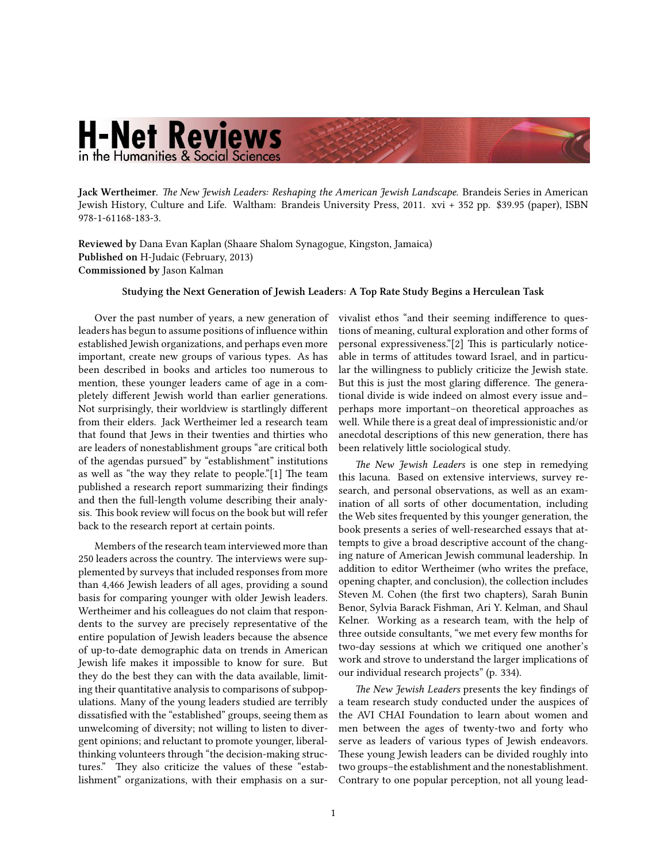## **H-Net Reviews** in the Humanities & Social Sciences

Jack Wertheimer. *Th[e New Jewish Leaders: Reshaping the American Jewish Landscape.](http://www.amazon.com/exec/obidos/ASIN/1611681839) Brandeis Series in American* Jewish History, Culture and Life. Waltham: Brandeis University Press, 2011. xvi + 352 pp. \$39.95 (paper), ISBN 978-1-61168-183-3.

**Reviewed by** Dana Evan Kaplan (Shaare Shalom Synagogue, Kingston, Jamaica) **Published on** H-Judaic (February, 2013) **Commissioned by** Jason Kalman

## **Studying the Next Generation of Jewish Leaders: A Top Rate Study Begins a Herculean Task**

Over the past number of years, a new generation of leaders has begun to assume positions of influence within established Jewish organizations, and perhaps even more important, create new groups of various types. As has been described in books and articles too numerous to mention, these younger leaders came of age in a completely different Jewish world than earlier generations. Not surprisingly, their worldview is startlingly different from their elders. Jack Wertheimer led a research team that found that Jews in their twenties and thirties who are leaders of nonestablishment groups "are critical both of the agendas pursued" by "establishment" institutions as well as "the way they relate to people." $[1]$  The team published a research report summarizing their findings and then the full-length volume describing their analysis. This book review will focus on the book but will refer back to the research report at certain points.

Members of the research team interviewed more than 250 leaders across the country. The interviews were supplemented by surveys that included responses from more than 4,466 Jewish leaders of all ages, providing a sound basis for comparing younger with older Jewish leaders. Wertheimer and his colleagues do not claim that respondents to the survey are precisely representative of the entire population of Jewish leaders because the absence of up-to-date demographic data on trends in American Jewish life makes it impossible to know for sure. But they do the best they can with the data available, limiting their quantitative analysis to comparisons of subpopulations. Many of the young leaders studied are terribly dissatisfied with the "established" groups, seeing them as unwelcoming of diversity; not willing to listen to divergent opinions; and reluctant to promote younger, liberalthinking volunteers through "the decision-making structures." They also criticize the values of these "establishment" organizations, with their emphasis on a survivalist ethos "and their seeming indifference to questions of meaning, cultural exploration and other forms of personal expressiveness."[2] This is particularly noticeable in terms of attitudes toward Israel, and in particular the willingness to publicly criticize the Jewish state. But this is just the most glaring difference. The generational divide is wide indeed on almost every issue and– perhaps more important–on theoretical approaches as well. While there is a great deal of impressionistic and/or anecdotal descriptions of this new generation, there has been relatively little sociological study.

*e New Jewish Leaders* is one step in remedying this lacuna. Based on extensive interviews, survey research, and personal observations, as well as an examination of all sorts of other documentation, including the Web sites frequented by this younger generation, the book presents a series of well-researched essays that attempts to give a broad descriptive account of the changing nature of American Jewish communal leadership. In addition to editor Wertheimer (who writes the preface, opening chapter, and conclusion), the collection includes Steven M. Cohen (the first two chapters), Sarah Bunin Benor, Sylvia Barack Fishman, Ari Y. Kelman, and Shaul Kelner. Working as a research team, with the help of three outside consultants, "we met every few months for two-day sessions at which we critiqued one another's work and strove to understand the larger implications of our individual research projects" (p. 334).

The New Jewish Leaders presents the key findings of a team research study conducted under the auspices of the AVI CHAI Foundation to learn about women and men between the ages of twenty-two and forty who serve as leaders of various types of Jewish endeavors. These young Jewish leaders can be divided roughly into two groups–the establishment and the nonestablishment. Contrary to one popular perception, not all young lead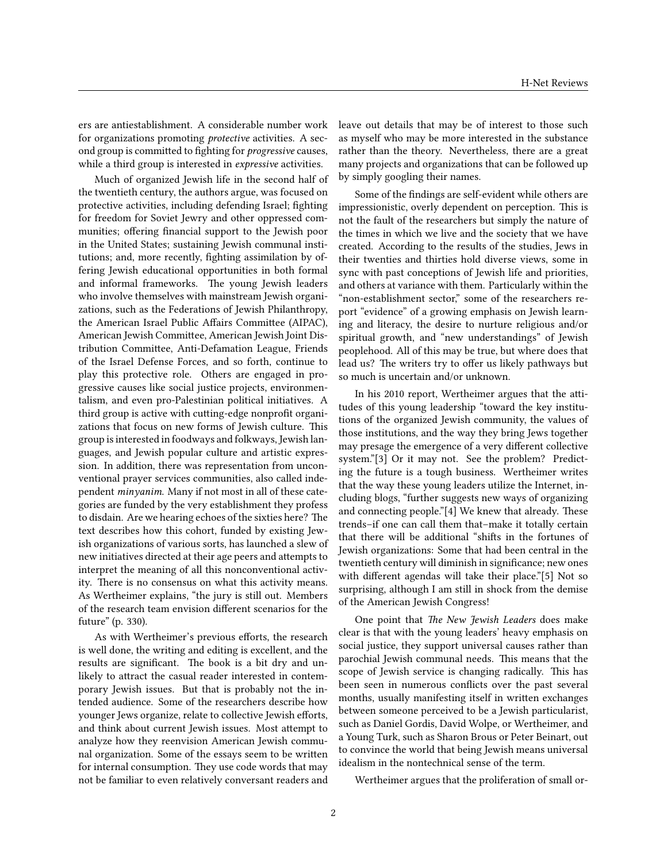ers are antiestablishment. A considerable number work for organizations promoting *protective* activities. A second group is committed to fighting for *progressive* causes, while a third group is interested in *expressive* activities.

Much of organized Jewish life in the second half of the twentieth century, the authors argue, was focused on protective activities, including defending Israel; fighting for freedom for Soviet Jewry and other oppressed communities; offering financial support to the Jewish poor in the United States; sustaining Jewish communal institutions; and, more recently, fighting assimilation by offering Jewish educational opportunities in both formal and informal frameworks. The young Jewish leaders who involve themselves with mainstream Jewish organizations, such as the Federations of Jewish Philanthropy, the American Israel Public Affairs Committee (AIPAC), American Jewish Committee, American Jewish Joint Distribution Committee, Anti-Defamation League, Friends of the Israel Defense Forces, and so forth, continue to play this protective role. Others are engaged in progressive causes like social justice projects, environmentalism, and even pro-Palestinian political initiatives. A third group is active with cutting-edge nonprofit organizations that focus on new forms of Jewish culture. This group is interested in foodways and folkways, Jewish languages, and Jewish popular culture and artistic expression. In addition, there was representation from unconventional prayer services communities, also called independent *minyanim*. Many if not most in all of these categories are funded by the very establishment they profess to disdain. Are we hearing echoes of the sixties here? The text describes how this cohort, funded by existing Jewish organizations of various sorts, has launched a slew of new initiatives directed at their age peers and attempts to interpret the meaning of all this nonconventional activity. There is no consensus on what this activity means. As Wertheimer explains, "the jury is still out. Members of the research team envision different scenarios for the future" (p. 330).

As with Wertheimer's previous efforts, the research is well done, the writing and editing is excellent, and the results are significant. The book is a bit dry and unlikely to attract the casual reader interested in contemporary Jewish issues. But that is probably not the intended audience. Some of the researchers describe how younger Jews organize, relate to collective Jewish efforts, and think about current Jewish issues. Most attempt to analyze how they reenvision American Jewish communal organization. Some of the essays seem to be written for internal consumption. They use code words that may not be familiar to even relatively conversant readers and leave out details that may be of interest to those such as myself who may be more interested in the substance rather than the theory. Nevertheless, there are a great many projects and organizations that can be followed up by simply googling their names.

Some of the findings are self-evident while others are impressionistic, overly dependent on perception. This is not the fault of the researchers but simply the nature of the times in which we live and the society that we have created. According to the results of the studies, Jews in their twenties and thirties hold diverse views, some in sync with past conceptions of Jewish life and priorities, and others at variance with them. Particularly within the "non-establishment sector," some of the researchers report "evidence" of a growing emphasis on Jewish learning and literacy, the desire to nurture religious and/or spiritual growth, and "new understandings" of Jewish peoplehood. All of this may be true, but where does that lead us? The writers try to offer us likely pathways but so much is uncertain and/or unknown.

In his 2010 report, Wertheimer argues that the attitudes of this young leadership "toward the key institutions of the organized Jewish community, the values of those institutions, and the way they bring Jews together may presage the emergence of a very different collective system."[3] Or it may not. See the problem? Predicting the future is a tough business. Wertheimer writes that the way these young leaders utilize the Internet, including blogs, "further suggests new ways of organizing and connecting people." $[4]$  We knew that already. These trends–if one can call them that–make it totally certain that there will be additional "shifts in the fortunes of Jewish organizations: Some that had been central in the twentieth century will diminish in significance; new ones with different agendas will take their place."[5] Not so surprising, although I am still in shock from the demise of the American Jewish Congress!

One point that *The New Jewish Leaders* does make clear is that with the young leaders' heavy emphasis on social justice, they support universal causes rather than parochial Jewish communal needs. This means that the scope of Jewish service is changing radically. This has been seen in numerous conflicts over the past several months, usually manifesting itself in written exchanges between someone perceived to be a Jewish particularist, such as Daniel Gordis, David Wolpe, or Wertheimer, and a Young Turk, such as Sharon Brous or Peter Beinart, out to convince the world that being Jewish means universal idealism in the nontechnical sense of the term.

Wertheimer argues that the proliferation of small or-